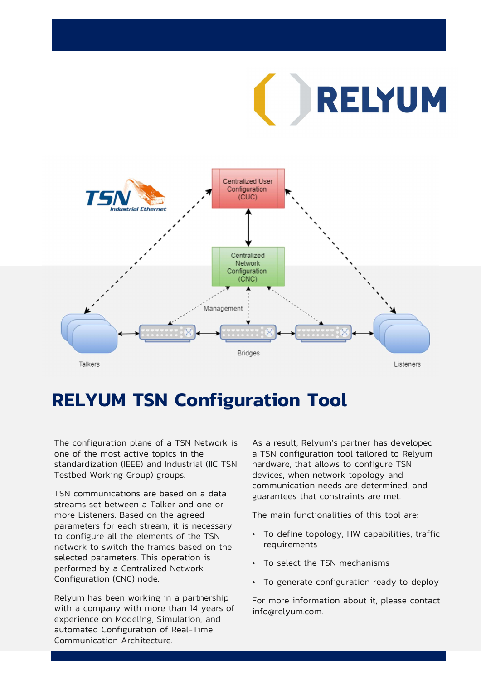RELYUM



# RELYUM TSN Configuration Tool

The configuration plane of a TSN Network is one of the most active topics in the standardization (IEEE) and Industrial (IIC TSN Testbed Working Group) groups.

• TSN communications are based on a data streams set between a Talker and one or more Listeners. Based on the agreed parameters for each stream, it is necessary to configure all the elements of the TSN network to switch the frames based on the selected parameters. This operation is performed by a Centralized Network Configuration (CNC) node.

• Relyum has been working in a partnership with a company with more than 14 years of experience on Modeling, Simulation, and automated Configuration of Real-Time Communication Architecture.

As a result, Relyum's partner has developed a TSN configuration tool tailored to Relyum hardware, that allows to configure TSN devices, when network topology and communication needs are determined, and guarantees that constraints are met. As a result, Relyum's partner has developed<br>
a TSN configuration tool tailored to Relyum<br>
hardware, that allows to configure TSN<br>
devices, when network topology and<br>
communication needs are determined, and<br>
guarantees that devices, when network topology and<br>
communication needs are determined, and<br>
guarantees that constraints are met.<br>
The main functionalities of this tool are:<br>
• To define topology, HW capabilities, traffic<br>
requirements<br>
•

The main functionalities of this tool are:

- requirements • • To generate configuration ready to deploy
- 
- 

For more information about it, please contact info@relyum.com.